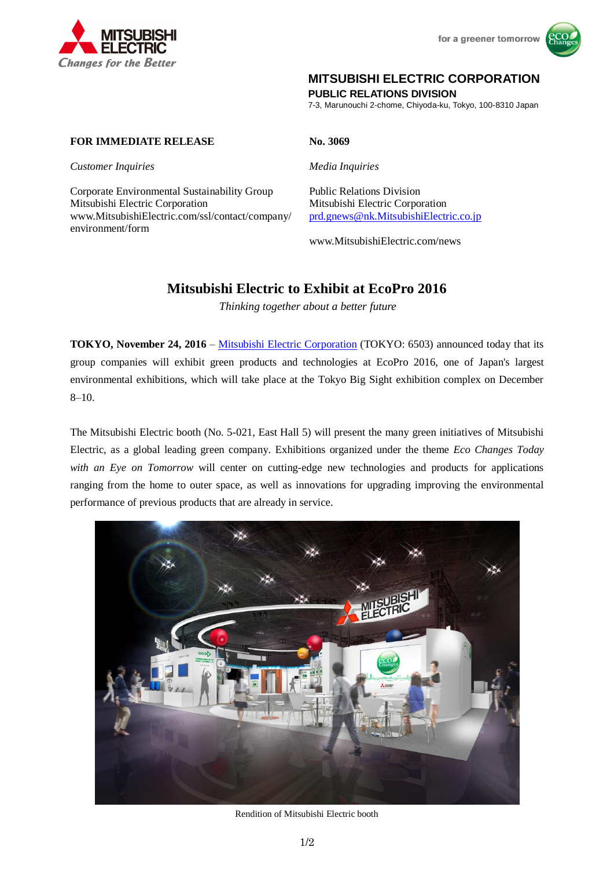



# **MITSUBISHI ELECTRIC CORPORATION**

**PUBLIC RELATIONS DIVISION**

7-3, Marunouchi 2-chome, Chiyoda-ku, Tokyo, 100-8310 Japan

## **FOR IMMEDIATE RELEASE No. 3069**

*Customer Inquiries Media Inquiries*

Corporate Environmental Sustainability Group Public Relations Division Mitsubishi Electric Corporation Mitsubishi Electric Corporation www.MitsubishiElectric.com/ssl/contact/company/ environment/form

[prd.gnews@nk.MitsubishiElectric.co.jp](mailto:prd.gnews@nk.MitsubishiElectric.co.jp)

www.MitsubishiElectric.com/news

# **Mitsubishi Electric to Exhibit at EcoPro 2016**

*Thinking together about a better future*

**TOKYO, November 24, 2016** – [Mitsubishi Electric Corporation](http://www.mitsubishielectric.com/) (TOKYO: 6503) announced today that its group companies will exhibit green products and technologies at EcoPro 2016, one of Japan's largest environmental exhibitions, which will take place at the Tokyo Big Sight exhibition complex on December 8–10.

The Mitsubishi Electric booth (No. 5-021, East Hall 5) will present the many green initiatives of Mitsubishi Electric, as a global leading green company. Exhibitions organized under the theme *Eco Changes Today*  with an Eye on Tomorrow will center on cutting-edge new technologies and products for applications ranging from the home to outer space, as well as innovations for upgrading improving the environmental performance of previous products that are already in service.



Rendition of Mitsubishi Electric booth